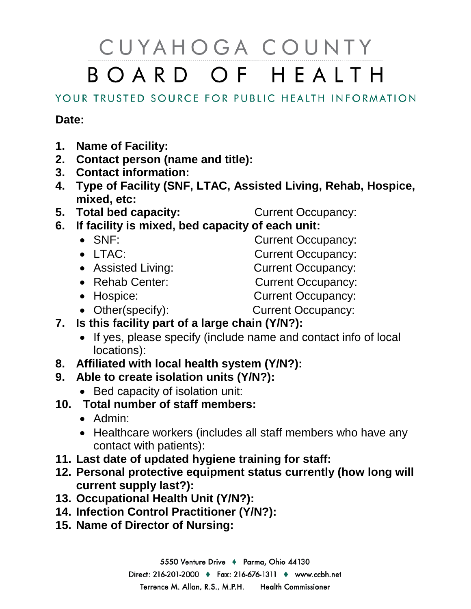## CUYAHOGA COUNTY BOARD OF HEALTH

## YOUR TRUSTED SOURCE FOR PUBLIC HEALTH INFORMATION

## **Date:**

- **1. Name of Facility:**
- **2. Contact person (name and title):**
- **3. Contact information:**
- **4. Type of Facility (SNF, LTAC, Assisted Living, Rehab, Hospice, mixed, etc:**
- **5. Total bed capacity:** Current Occupancy:
	-
- **6. If facility is mixed, bed capacity of each unit:**
	- SNF: Current Occupancy:
	-
	- Assisted Living: Current Occupancy:
	- Rehab Center: Current Occupancy:
	- LTAC: Current Occupancy:
		-
		-
	- Hospice: Current Occupancy:
	-
	- Other(specify): Current Occupancy:
- **7. Is this facility part of a large chain (Y/N?):**
	- If yes, please specify (include name and contact info of local locations):
- **8. Affiliated with local health system (Y/N?):**
- **9. Able to create isolation units (Y/N?):**
	- Bed capacity of isolation unit:
- **10. Total number of staff members:**
	- Admin:
	- Healthcare workers (includes all staff members who have any contact with patients):
- **11. Last date of updated hygiene training for staff:**
- **12. Personal protective equipment status currently (how long will current supply last?):**
- **13. Occupational Health Unit (Y/N?):**
- **14. Infection Control Practitioner (Y/N?):**
- **15. Name of Director of Nursing:**